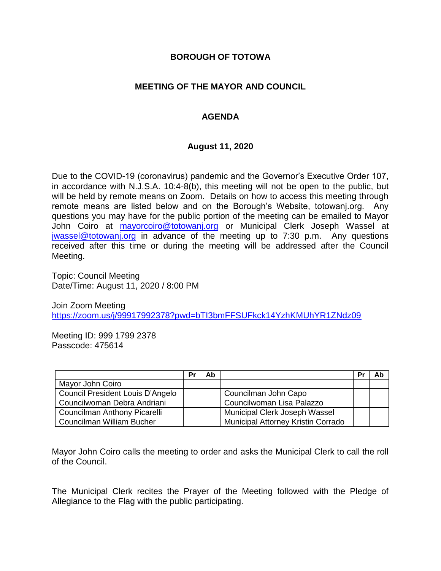### **BOROUGH OF TOTOWA**

## **MEETING OF THE MAYOR AND COUNCIL**

# **AGENDA**

#### **August 11, 2020**

Due to the COVID-19 (coronavirus) pandemic and the Governor's Executive Order 107, in accordance with N.J.S.A. 10:4-8(b), this meeting will not be open to the public, but will be held by remote means on Zoom. Details on how to access this meeting through remote means are listed below and on the Borough's Website, totowanj.org. Any questions you may have for the public portion of the meeting can be emailed to Mayor John Coiro at [mayorcoiro@totowanj.org](mailto:mayorcoiro@totowanj.org) or Municipal Clerk Joseph Wassel at [jwassel@totowanj.org](mailto:jwassel@totowanj.org) in advance of the meeting up to 7:30 p.m. Any questions received after this time or during the meeting will be addressed after the Council Meeting.

Topic: Council Meeting Date/Time: August 11, 2020 / 8:00 PM

Join Zoom Meeting <https://zoom.us/j/99917992378?pwd=bTI3bmFFSUFkck14YzhKMUhYR1ZNdz09>

Meeting ID: 999 1799 2378 Passcode: 475614

|                                     | Pı | Ab |                                    | Pr | Ab |
|-------------------------------------|----|----|------------------------------------|----|----|
| Mayor John Coiro                    |    |    |                                    |    |    |
| Council President Louis D'Angelo    |    |    | Councilman John Capo               |    |    |
| Councilwoman Debra Andriani         |    |    | Councilwoman Lisa Palazzo          |    |    |
| <b>Councilman Anthony Picarelli</b> |    |    | Municipal Clerk Joseph Wassel      |    |    |
| Councilman William Bucher           |    |    | Municipal Attorney Kristin Corrado |    |    |

Mayor John Coiro calls the meeting to order and asks the Municipal Clerk to call the roll of the Council.

The Municipal Clerk recites the Prayer of the Meeting followed with the Pledge of Allegiance to the Flag with the public participating.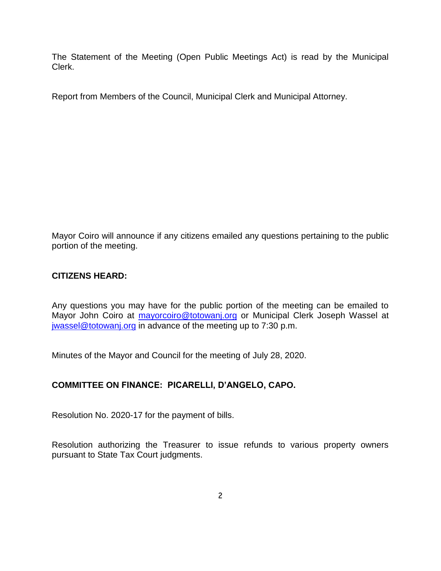The Statement of the Meeting (Open Public Meetings Act) is read by the Municipal Clerk.

Report from Members of the Council, Municipal Clerk and Municipal Attorney.

Mayor Coiro will announce if any citizens emailed any questions pertaining to the public portion of the meeting.

## **CITIZENS HEARD:**

Any questions you may have for the public portion of the meeting can be emailed to Mayor John Coiro at [mayorcoiro@totowanj.org](mailto:mayorcoiro@totowanj.org) or Municipal Clerk Joseph Wassel at [jwassel@totowanj.org](mailto:jwassel@totowanj.org) in advance of the meeting up to 7:30 p.m.

Minutes of the Mayor and Council for the meeting of July 28, 2020.

#### **COMMITTEE ON FINANCE: PICARELLI, D'ANGELO, CAPO.**

Resolution No. 2020-17 for the payment of bills.

Resolution authorizing the Treasurer to issue refunds to various property owners pursuant to State Tax Court judgments.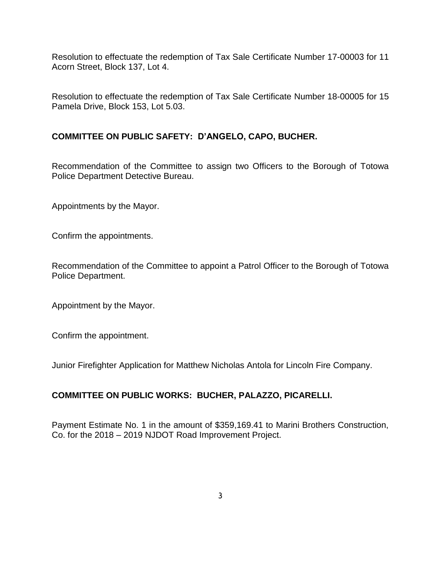Resolution to effectuate the redemption of Tax Sale Certificate Number 17-00003 for 11 Acorn Street, Block 137, Lot 4.

Resolution to effectuate the redemption of Tax Sale Certificate Number 18-00005 for 15 Pamela Drive, Block 153, Lot 5.03.

# **COMMITTEE ON PUBLIC SAFETY: D'ANGELO, CAPO, BUCHER.**

Recommendation of the Committee to assign two Officers to the Borough of Totowa Police Department Detective Bureau.

Appointments by the Mayor.

Confirm the appointments.

Recommendation of the Committee to appoint a Patrol Officer to the Borough of Totowa Police Department.

Appointment by the Mayor.

Confirm the appointment.

Junior Firefighter Application for Matthew Nicholas Antola for Lincoln Fire Company.

# **COMMITTEE ON PUBLIC WORKS: BUCHER, PALAZZO, PICARELLI.**

Payment Estimate No. 1 in the amount of \$359,169.41 to Marini Brothers Construction, Co. for the 2018 – 2019 NJDOT Road Improvement Project.